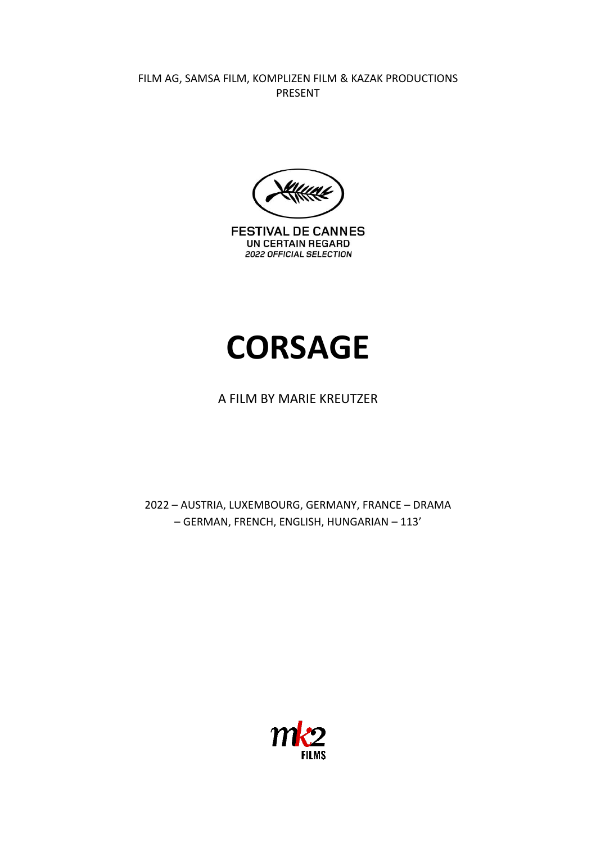FILM AG, SAMSA FILM, KOMPLIZEN FILM & KAZAK PRODUCTIONS PRESENT



**FESTIVAL DE CANNES** UN CERTAIN REGARD 2022 OFFICIAL SELECTION

# **CORSAGE**

## A FILM BY MARIE KREUTZER

2022 – AUSTRIA, LUXEMBOURG, GERMANY, FRANCE – DRAMA – GERMAN, FRENCH, ENGLISH, HUNGARIAN – 113'

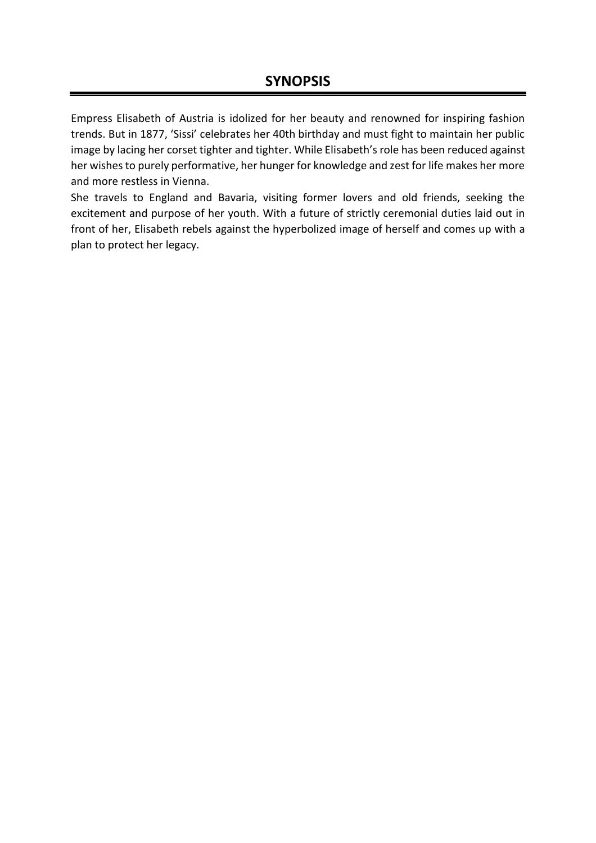Empress Elisabeth of Austria is idolized for her beauty and renowned for inspiring fashion trends. But in 1877, 'Sissi' celebrates her 40th birthday and must fight to maintain her public image by lacing her corset tighter and tighter. While Elisabeth's role has been reduced against her wishes to purely performative, her hunger for knowledge and zest for life makes her more and more restless in Vienna.

She travels to England and Bavaria, visiting former lovers and old friends, seeking the excitement and purpose of her youth. With a future of strictly ceremonial duties laid out in front of her, Elisabeth rebels against the hyperbolized image of herself and comes up with a plan to protect her legacy.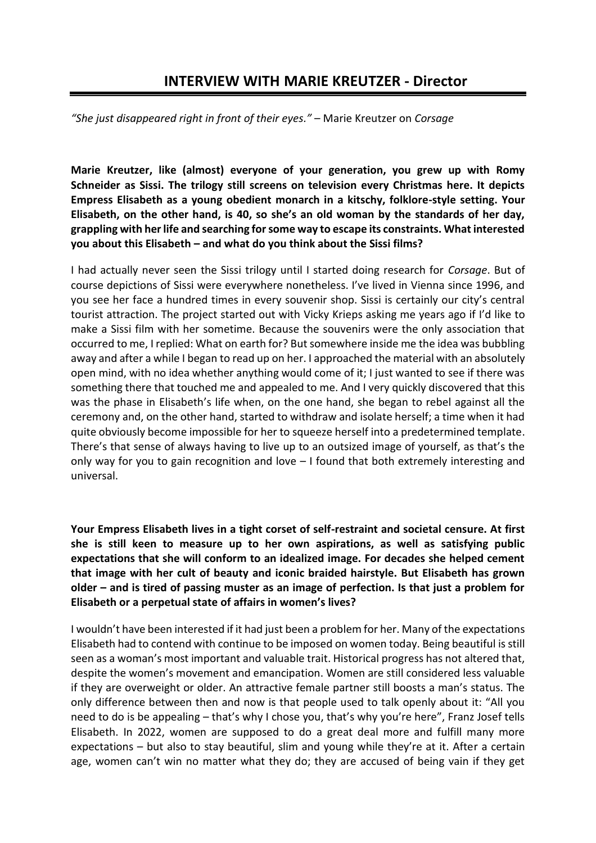## **INTERVIEW WITH MARIE KREUTZER - Director**

*"She just disappeared right in front of their eyes."* – Marie Kreutzer on *Corsage*

**Marie Kreutzer, like (almost) everyone of your generation, you grew up with Romy Schneider as Sissi. The trilogy still screens on television every Christmas here. It depicts Empress Elisabeth as a young obedient monarch in a kitschy, folklore-style setting. Your Elisabeth, on the other hand, is 40, so she's an old woman by the standards of her day, grappling with her life and searching for some way to escape its constraints. What interested you about this Elisabeth – and what do you think about the Sissi films?**

I had actually never seen the Sissi trilogy until I started doing research for *Corsage*. But of course depictions of Sissi were everywhere nonetheless. I've lived in Vienna since 1996, and you see her face a hundred times in every souvenir shop. Sissi is certainly our city's central tourist attraction. The project started out with Vicky Krieps asking me years ago if I'd like to make a Sissi film with her sometime. Because the souvenirs were the only association that occurred to me, I replied: What on earth for? But somewhere inside me the idea was bubbling away and after a while I began to read up on her. I approached the material with an absolutely open mind, with no idea whether anything would come of it; I just wanted to see if there was something there that touched me and appealed to me. And I very quickly discovered that this was the phase in Elisabeth's life when, on the one hand, she began to rebel against all the ceremony and, on the other hand, started to withdraw and isolate herself; a time when it had quite obviously become impossible for her to squeeze herself into a predetermined template. There's that sense of always having to live up to an outsized image of yourself, as that's the only way for you to gain recognition and love – I found that both extremely interesting and universal.

**Your Empress Elisabeth lives in a tight corset of self-restraint and societal censure. At first she is still keen to measure up to her own aspirations, as well as satisfying public expectations that she will conform to an idealized image. For decades she helped cement that image with her cult of beauty and iconic braided hairstyle. But Elisabeth has grown older – and is tired of passing muster as an image of perfection. Is that just a problem for Elisabeth or a perpetual state of affairs in women's lives?**

I wouldn't have been interested if it had just been a problem for her. Many of the expectations Elisabeth had to contend with continue to be imposed on women today. Being beautiful is still seen as a woman's most important and valuable trait. Historical progress has not altered that, despite the women's movement and emancipation. Women are still considered less valuable if they are overweight or older. An attractive female partner still boosts a man's status. The only difference between then and now is that people used to talk openly about it: "All you need to do is be appealing – that's why I chose you, that's why you're here", Franz Josef tells Elisabeth. In 2022, women are supposed to do a great deal more and fulfill many more expectations – but also to stay beautiful, slim and young while they're at it. After a certain age, women can't win no matter what they do; they are accused of being vain if they get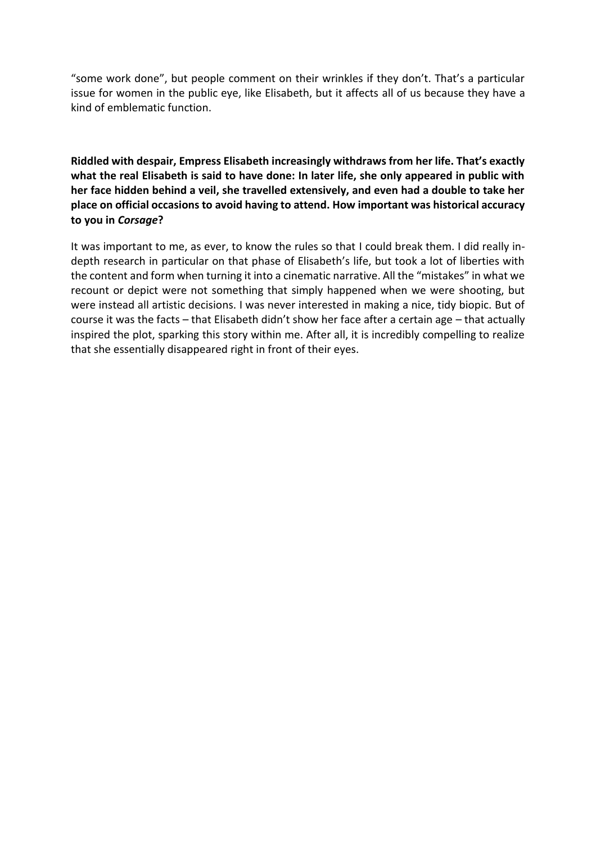"some work done", but people comment on their wrinkles if they don't. That's a particular issue for women in the public eye, like Elisabeth, but it affects all of us because they have a kind of emblematic function.

**Riddled with despair, Empress Elisabeth increasingly withdraws from her life. That's exactly what the real Elisabeth is said to have done: In later life, she only appeared in public with her face hidden behind a veil, she travelled extensively, and even had a double to take her place on official occasions to avoid having to attend. How important was historical accuracy to you in** *Corsage***?** 

It was important to me, as ever, to know the rules so that I could break them. I did really indepth research in particular on that phase of Elisabeth's life, but took a lot of liberties with the content and form when turning it into a cinematic narrative. All the "mistakes" in what we recount or depict were not something that simply happened when we were shooting, but were instead all artistic decisions. I was never interested in making a nice, tidy biopic. But of course it was the facts – that Elisabeth didn't show her face after a certain age – that actually inspired the plot, sparking this story within me. After all, it is incredibly compelling to realize that she essentially disappeared right in front of their eyes.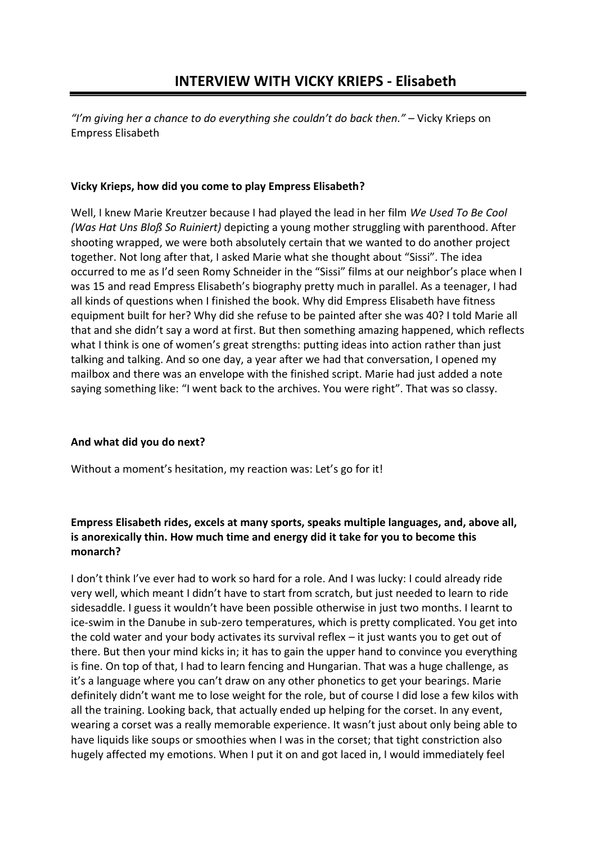*"I'm giving her a chance to do everything she couldn't do back then."* – Vicky Krieps on Empress Elisabeth

#### **Vicky Krieps, how did you come to play Empress Elisabeth?**

Well, I knew Marie Kreutzer because I had played the lead in her film *We Used To Be Cool (Was Hat Uns Bloß So Ruiniert)* depicting a young mother struggling with parenthood. After shooting wrapped, we were both absolutely certain that we wanted to do another project together. Not long after that, I asked Marie what she thought about "Sissi". The idea occurred to me as I'd seen Romy Schneider in the "Sissi" films at our neighbor's place when I was 15 and read Empress Elisabeth's biography pretty much in parallel. As a teenager, I had all kinds of questions when I finished the book. Why did Empress Elisabeth have fitness equipment built for her? Why did she refuse to be painted after she was 40? I told Marie all that and she didn't say a word at first. But then something amazing happened, which reflects what I think is one of women's great strengths: putting ideas into action rather than just talking and talking. And so one day, a year after we had that conversation, I opened my mailbox and there was an envelope with the finished script. Marie had just added a note saying something like: "I went back to the archives. You were right". That was so classy.

#### **And what did you do next?**

Without a moment's hesitation, my reaction was: Let's go for it!

#### **Empress Elisabeth rides, excels at many sports, speaks multiple languages, and, above all, is anorexically thin. How much time and energy did it take for you to become this monarch?**

I don't think I've ever had to work so hard for a role. And I was lucky: I could already ride very well, which meant I didn't have to start from scratch, but just needed to learn to ride sidesaddle. I guess it wouldn't have been possible otherwise in just two months. I learnt to ice-swim in the Danube in sub-zero temperatures, which is pretty complicated. You get into the cold water and your body activates its survival reflex – it just wants you to get out of there. But then your mind kicks in; it has to gain the upper hand to convince you everything is fine. On top of that, I had to learn fencing and Hungarian. That was a huge challenge, as it's a language where you can't draw on any other phonetics to get your bearings. Marie definitely didn't want me to lose weight for the role, but of course I did lose a few kilos with all the training. Looking back, that actually ended up helping for the corset. In any event, wearing a corset was a really memorable experience. It wasn't just about only being able to have liquids like soups or smoothies when I was in the corset; that tight constriction also hugely affected my emotions. When I put it on and got laced in, I would immediately feel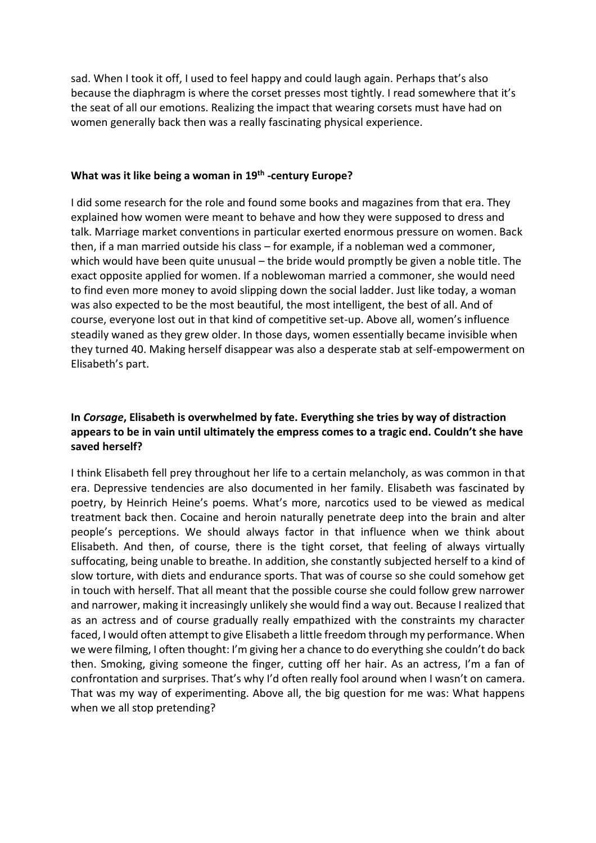sad. When I took it off, I used to feel happy and could laugh again. Perhaps that's also because the diaphragm is where the corset presses most tightly. I read somewhere that it's the seat of all our emotions. Realizing the impact that wearing corsets must have had on women generally back then was a really fascinating physical experience.

### **What was it like being a woman in 19th -century Europe?**

I did some research for the role and found some books and magazines from that era. They explained how women were meant to behave and how they were supposed to dress and talk. Marriage market conventions in particular exerted enormous pressure on women. Back then, if a man married outside his class – for example, if a nobleman wed a commoner, which would have been quite unusual – the bride would promptly be given a noble title. The exact opposite applied for women. If a noblewoman married a commoner, she would need to find even more money to avoid slipping down the social ladder. Just like today, a woman was also expected to be the most beautiful, the most intelligent, the best of all. And of course, everyone lost out in that kind of competitive set-up. Above all, women's influence steadily waned as they grew older. In those days, women essentially became invisible when they turned 40. Making herself disappear was also a desperate stab at self-empowerment on Elisabeth's part.

#### **In** *Corsage***, Elisabeth is overwhelmed by fate. Everything she tries by way of distraction appears to be in vain until ultimately the empress comes to a tragic end. Couldn't she have saved herself?**

I think Elisabeth fell prey throughout her life to a certain melancholy, as was common in that era. Depressive tendencies are also documented in her family. Elisabeth was fascinated by poetry, by Heinrich Heine's poems. What's more, narcotics used to be viewed as medical treatment back then. Cocaine and heroin naturally penetrate deep into the brain and alter people's perceptions. We should always factor in that influence when we think about Elisabeth. And then, of course, there is the tight corset, that feeling of always virtually suffocating, being unable to breathe. In addition, she constantly subjected herself to a kind of slow torture, with diets and endurance sports. That was of course so she could somehow get in touch with herself. That all meant that the possible course she could follow grew narrower and narrower, making it increasingly unlikely she would find a way out. Because I realized that as an actress and of course gradually really empathized with the constraints my character faced, I would often attempt to give Elisabeth a little freedom through my performance. When we were filming, I often thought: I'm giving her a chance to do everything she couldn't do back then. Smoking, giving someone the finger, cutting off her hair. As an actress, I'm a fan of confrontation and surprises. That's why I'd often really fool around when I wasn't on camera. That was my way of experimenting. Above all, the big question for me was: What happens when we all stop pretending?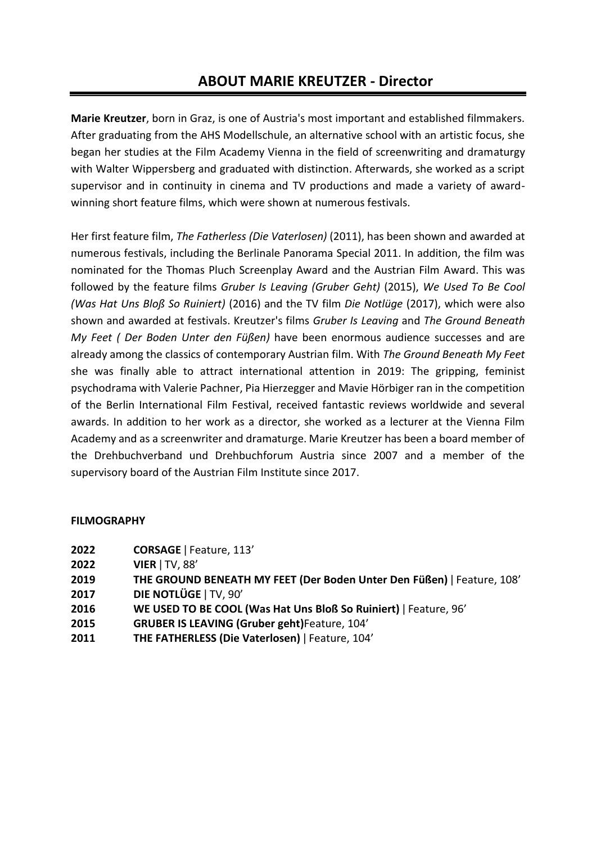# **ABOUT MARIE KREUTZER - Director**

**Marie Kreutzer**, born in Graz, is one of Austria's most important and established filmmakers. After graduating from the AHS Modellschule, an alternative school with an artistic focus, she began her studies at the Film Academy Vienna in the field of screenwriting and dramaturgy with Walter Wippersberg and graduated with distinction. Afterwards, she worked as a script supervisor and in continuity in cinema and TV productions and made a variety of awardwinning short feature films, which were shown at numerous festivals.

Her first feature film, *The Fatherless (Die Vaterlosen)* (2011), has been shown and awarded at numerous festivals, including the Berlinale Panorama Special 2011. In addition, the film was nominated for the Thomas Pluch Screenplay Award and the Austrian Film Award. This was followed by the feature films *Gruber Is Leaving (Gruber Geht)* (2015), *We Used To Be Cool (Was Hat Uns Bloß So Ruiniert)* (2016) and the TV film *Die Notlüge* (2017), which were also shown and awarded at festivals. Kreutzer's films *Gruber Is Leaving* and *The Ground Beneath My Feet ( Der Boden Unter den Füßen)* have been enormous audience successes and are already among the classics of contemporary Austrian film. With *The Ground Beneath My Feet* she was finally able to attract international attention in 2019: The gripping, feminist psychodrama with Valerie Pachner, Pia Hierzegger and Mavie Hörbiger ran in the competition of the Berlin International Film Festival, received fantastic reviews worldwide and several awards. In addition to her work as a director, she worked as a lecturer at the Vienna Film Academy and as a screenwriter and dramaturge. Marie Kreutzer has been a board member of the Drehbuchverband und Drehbuchforum Austria since 2007 and a member of the supervisory board of the Austrian Film Institute since 2017.

#### **FILMOGRAPHY**

- **2022 CORSAGE** ǀ Feature, 113'
- **2022 VIER** ǀ TV, 88'
- **2019 THE GROUND BENEATH MY FEET (Der Boden Unter Den Füßen)** ǀ Feature, 108'
- **2017 DIE NOTLÜGE** ǀ TV, 90'
- **2016 WE USED TO BE COOL (Was Hat Uns Bloß So Ruiniert)** ǀ Feature, 96'
- **2015 GRUBER IS LEAVING (Gruber geht)**Feature, 104'
- **2011 THE FATHERLESS (Die Vaterlosen)** ǀ Feature, 104'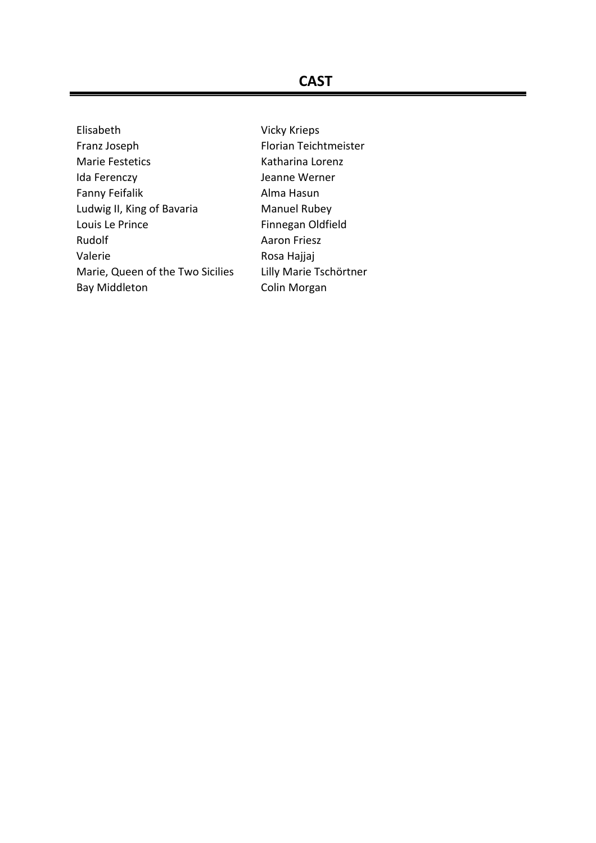## **CAST**

Elisabeth Vicky Krieps Franz Joseph Florian Teichtmeister Marie Festetics Katharina Lorenz Ida Ferenczy **Marsus** Jeanne Werner Fanny Feifalik **Alma Hasun** Ludwig II, King of Bavaria Manuel Rubey Louis Le Prince Finnegan Oldfield Rudolf **Aaron Friesz** Valerie Calerie<br>
Marie, Queen of the Two Sicilies Lilly Marie Tschörtner Marie, Queen of the Two Sicilies Bay Middleton Colin Morgan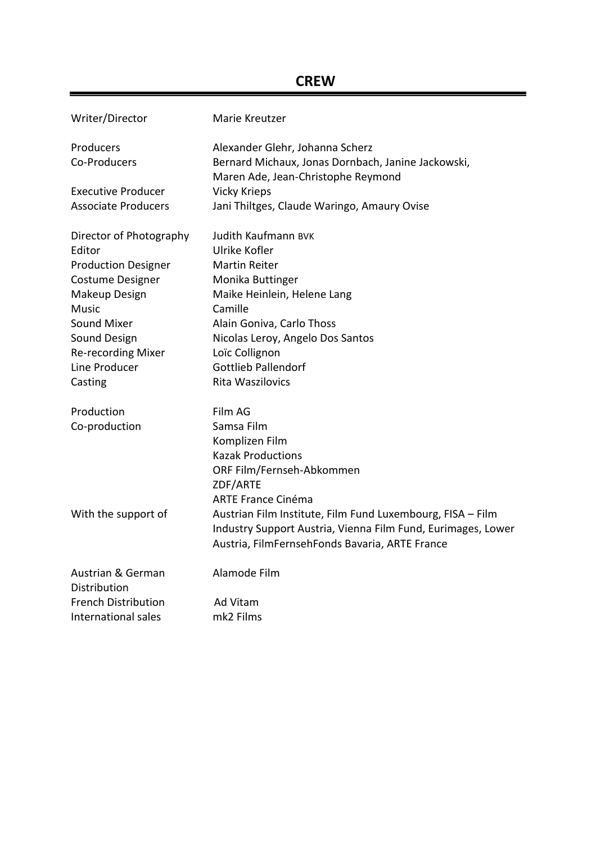## **CREW**

| Writer/Director                   | Marie Kreutzer                                               |
|-----------------------------------|--------------------------------------------------------------|
| Producers                         | Alexander Glehr, Johanna Scherz                              |
| Co-Producers                      | Bernard Michaux, Jonas Dornbach, Janine Jackowski,           |
|                                   | Maren Ade, Jean-Christophe Reymond                           |
| <b>Executive Producer</b>         | <b>Vicky Krieps</b>                                          |
| <b>Associate Producers</b>        | Jani Thiltges, Claude Waringo, Amaury Ovise                  |
| Director of Photography           | Judith Kaufmann BVK                                          |
| Editor                            | Ulrike Kofler                                                |
| <b>Production Designer</b>        | <b>Martin Reiter</b>                                         |
| Costume Designer                  | Monika Buttinger                                             |
| Makeup Design                     | Maike Heinlein, Helene Lang                                  |
| <b>Music</b>                      | Camille                                                      |
| <b>Sound Mixer</b>                | Alain Goniva, Carlo Thoss                                    |
| Sound Design                      | Nicolas Leroy, Angelo Dos Santos                             |
| <b>Re-recording Mixer</b>         | Loïc Collignon                                               |
| Line Producer                     | <b>Gottlieb Pallendorf</b>                                   |
| Casting                           | Rita Waszilovics                                             |
| Production                        | Film AG                                                      |
| Co-production                     | Samsa Film                                                   |
|                                   | Komplizen Film                                               |
|                                   | <b>Kazak Productions</b>                                     |
|                                   | ORF Film/Fernseh-Abkommen                                    |
|                                   | ZDF/ARTE                                                     |
|                                   | <b>ARTE France Cinéma</b>                                    |
| With the support of               | Austrian Film Institute, Film Fund Luxembourg, FISA - Film   |
|                                   | Industry Support Austria, Vienna Film Fund, Eurimages, Lower |
|                                   | Austria, FilmFernsehFonds Bavaria, ARTE France               |
| Austrian & German<br>Distribution | Alamode Film                                                 |
| <b>French Distribution</b>        | Ad Vitam                                                     |
| International sales               | mk <sub>2</sub> Films                                        |
|                                   |                                                              |